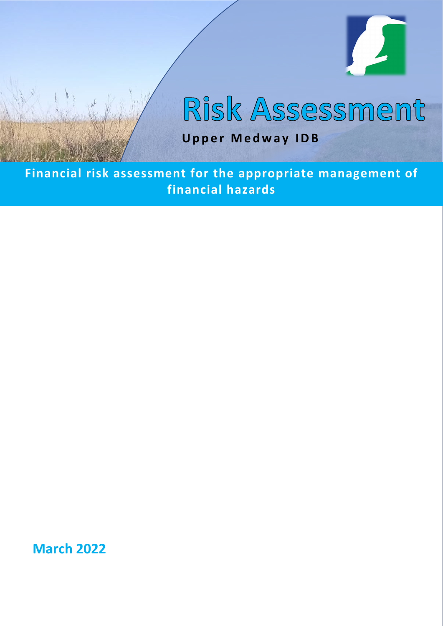

# Risk Assessment

**Upper Medway IDB**

**Financial risk assessment for the appropriate management of financial hazards**

**March 2022**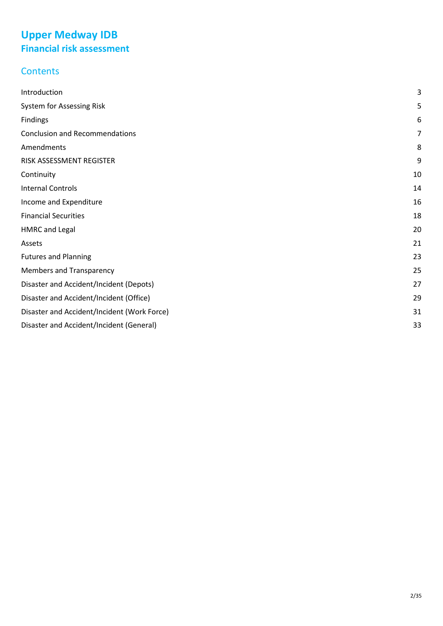## **Upper Medway IDB Financial risk assessment**

## **Contents**

| Introduction                                | 3  |
|---------------------------------------------|----|
| System for Assessing Risk                   | 5  |
| Findings                                    | 6  |
| <b>Conclusion and Recommendations</b>       | 7  |
| Amendments                                  | 8  |
| RISK ASSESSMENT REGISTER                    | 9  |
| Continuity                                  | 10 |
| <b>Internal Controls</b>                    | 14 |
| Income and Expenditure                      | 16 |
| <b>Financial Securities</b>                 | 18 |
| <b>HMRC</b> and Legal                       | 20 |
| Assets                                      | 21 |
| <b>Futures and Planning</b>                 | 23 |
| <b>Members and Transparency</b>             | 25 |
| Disaster and Accident/Incident (Depots)     | 27 |
| Disaster and Accident/Incident (Office)     | 29 |
| Disaster and Accident/Incident (Work Force) | 31 |
| Disaster and Accident/Incident (General)    | 33 |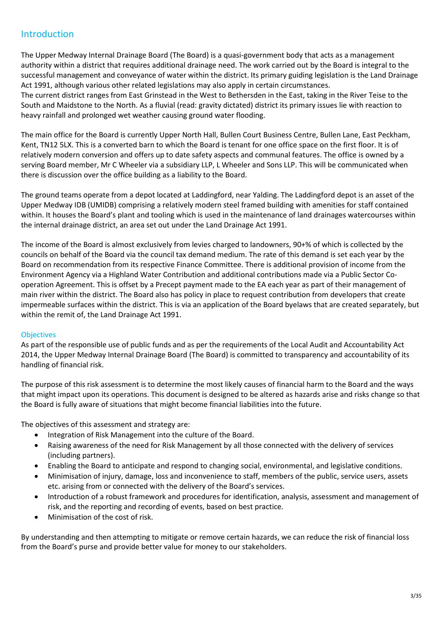#### <span id="page-2-0"></span>Introduction

The Upper Medway Internal Drainage Board (The Board) is a quasi-government body that acts as a management authority within a district that requires additional drainage need. The work carried out by the Board is integral to the successful management and conveyance of water within the district. Its primary guiding legislation is the Land Drainage Act 1991, although various other related legislations may also apply in certain circumstances.

The current district ranges from East Grinstead in the West to Bethersden in the East, taking in the River Teise to the South and Maidstone to the North. As a fluvial (read: gravity dictated) district its primary issues lie with reaction to heavy rainfall and prolonged wet weather causing ground water flooding.

The main office for the Board is currently Upper North Hall, Bullen Court Business Centre, Bullen Lane, East Peckham, Kent, TN12 5LX. This is a converted barn to which the Board is tenant for one office space on the first floor. It is of relatively modern conversion and offers up to date safety aspects and communal features. The office is owned by a serving Board member, Mr C Wheeler via a subsidiary LLP, L Wheeler and Sons LLP. This will be communicated when there is discussion over the office building as a liability to the Board.

The ground teams operate from a depot located at Laddingford, near Yalding. The Laddingford depot is an asset of the Upper Medway IDB (UMIDB) comprising a relatively modern steel framed building with amenities for staff contained within. It houses the Board's plant and tooling which is used in the maintenance of land drainages watercourses within the internal drainage district, an area set out under the Land Drainage Act 1991.

The income of the Board is almost exclusively from levies charged to landowners, 90+% of which is collected by the councils on behalf of the Board via the council tax demand medium. The rate of this demand is set each year by the Board on recommendation from its respective Finance Committee. There is additional provision of income from the Environment Agency via a Highland Water Contribution and additional contributions made via a Public Sector Cooperation Agreement. This is offset by a Precept payment made to the EA each year as part of their management of main river within the district. The Board also has policy in place to request contribution from developers that create impermeable surfaces within the district. This is via an application of the Board byelaws that are created separately, but within the remit of, the Land Drainage Act 1991.

#### **Objectives**

As part of the responsible use of public funds and as per the requirements of the Local Audit and Accountability Act 2014, the Upper Medway Internal Drainage Board (The Board) is committed to transparency and accountability of its handling of financial risk.

The purpose of this risk assessment is to determine the most likely causes of financial harm to the Board and the ways that might impact upon its operations. This document is designed to be altered as hazards arise and risks change so that the Board is fully aware of situations that might become financial liabilities into the future.

The objectives of this assessment and strategy are:

- Integration of Risk Management into the culture of the Board.
- Raising awareness of the need for Risk Management by all those connected with the delivery of services (including partners).
- Enabling the Board to anticipate and respond to changing social, environmental, and legislative conditions.
- Minimisation of injury, damage, loss and inconvenience to staff, members of the public, service users, assets etc. arising from or connected with the delivery of the Board's services.
- Introduction of a robust framework and procedures for identification, analysis, assessment and management of risk, and the reporting and recording of events, based on best practice.
- Minimisation of the cost of risk.

By understanding and then attempting to mitigate or remove certain hazards, we can reduce the risk of financial loss from the Board's purse and provide better value for money to our stakeholders.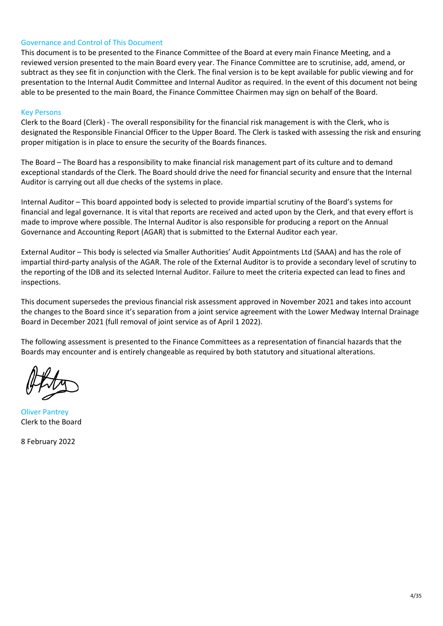#### Governance and Control of This Document

This document is to be presented to the Finance Committee of the Board at every main Finance Meeting, and a reviewed version presented to the main Board every year. The Finance Committee are to scrutinise, add, amend, or subtract as they see fit in conjunction with the Clerk. The final version is to be kept available for public viewing and for presentation to the Internal Audit Committee and Internal Auditor as required. In the event of this document not being able to be presented to the main Board, the Finance Committee Chairmen may sign on behalf of the Board.

#### Key Persons

Clerk to the Board (Clerk) - The overall responsibility for the financial risk management is with the Clerk, who is designated the Responsible Financial Officer to the Upper Board. The Clerk is tasked with assessing the risk and ensuring proper mitigation is in place to ensure the security of the Boards finances.

The Board – The Board has a responsibility to make financial risk management part of its culture and to demand exceptional standards of the Clerk. The Board should drive the need for financial security and ensure that the Internal Auditor is carrying out all due checks of the systems in place.

Internal Auditor – This board appointed body is selected to provide impartial scrutiny of the Board's systems for financial and legal governance. It is vital that reports are received and acted upon by the Clerk, and that every effort is made to improve where possible. The Internal Auditor is also responsible for producing a report on the Annual Governance and Accounting Report (AGAR) that is submitted to the External Auditor each year.

External Auditor – This body is selected via Smaller Authorities' Audit Appointments Ltd (SAAA) and has the role of impartial third-party analysis of the AGAR. The role of the External Auditor is to provide a secondary level of scrutiny to the reporting of the IDB and its selected Internal Auditor. Failure to meet the criteria expected can lead to fines and inspections.

This document supersedes the previous financial risk assessment approved in November 2021 and takes into account the changes to the Board since it's separation from a joint service agreement with the Lower Medway Internal Drainage Board in December 2021 (full removal of joint service as of April 1 2022).

The following assessment is presented to the Finance Committees as a representation of financial hazards that the Boards may encounter and is entirely changeable as required by both statutory and situational alterations.

Oliver Pantrey Clerk to the Board

8 February 2022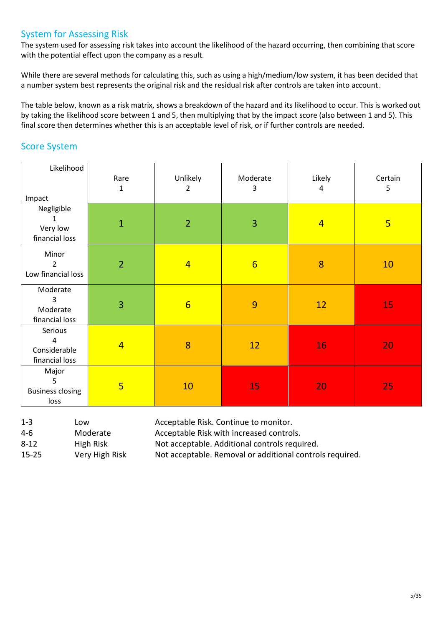#### <span id="page-4-0"></span>System for Assessing Risk

The system used for assessing risk takes into account the likelihood of the hazard occurring, then combining that score with the potential effect upon the company as a result.

While there are several methods for calculating this, such as using a high/medium/low system, it has been decided that a number system best represents the original risk and the residual risk after controls are taken into account.

The table below, known as a risk matrix, shows a breakdown of the hazard and its likelihood to occur. This is worked out by taking the likelihood score between 1 and 5, then multiplying that by the impact score (also between 1 and 5). This final score then determines whether this is an acceptable level of risk, or if further controls are needed.

#### Score System

| Likelihood<br>Impact                           | Rare<br>$\mathbf{1}$ | Unlikely<br>2   | Moderate<br>3   | Likely<br>4    | Certain<br>5   |
|------------------------------------------------|----------------------|-----------------|-----------------|----------------|----------------|
| Negligible<br>1<br>Very low<br>financial loss  | $\mathbf{1}$         | $\overline{2}$  | 3               | $\overline{4}$ | $\overline{5}$ |
| Minor<br>$\overline{2}$<br>Low financial loss  | $\overline{2}$       | $\overline{4}$  | $6\overline{6}$ | 8              | 10             |
| Moderate<br>3<br>Moderate<br>financial loss    | 3                    | $6\overline{6}$ | 9               | 12             | 15             |
| Serious<br>4<br>Considerable<br>financial loss | $\overline{4}$       | 8               | 12              | 16             | 20             |
| Major<br>5<br><b>Business closing</b><br>loss  | $5\overline{}$       | 10              | 15              | 20             | 25             |

| $1 - 3$  | Low                       |
|----------|---------------------------|
| 4-6      | Moderate                  |
| $8 - 12$ | High Risk                 |
| 15.75    | <i><b>Mary High I</b></i> |

Acceptable Risk. Continue to monitor. Acceptable Risk with increased controls. Not acceptable. Additional controls required. 15-25 Very High Risk Not acceptable. Removal or additional controls required.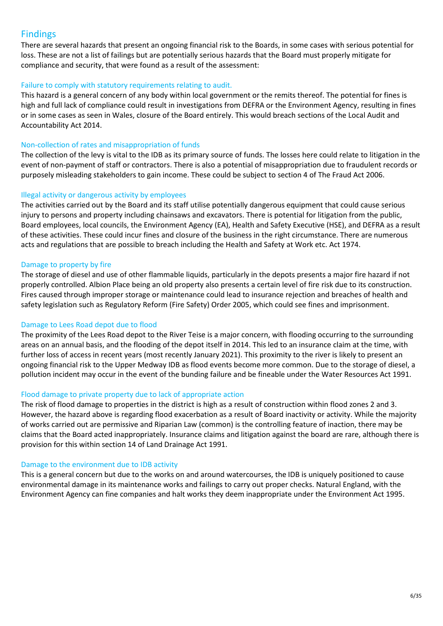#### <span id="page-5-0"></span>Findings

There are several hazards that present an ongoing financial risk to the Boards, in some cases with serious potential for loss. These are not a list of failings but are potentially serious hazards that the Board must properly mitigate for compliance and security, that were found as a result of the assessment:

#### Failure to comply with statutory requirements relating to audit.

This hazard is a general concern of any body within local government or the remits thereof. The potential for fines is high and full lack of compliance could result in investigations from DEFRA or the Environment Agency, resulting in fines or in some cases as seen in Wales, closure of the Board entirely. This would breach sections of the Local Audit and Accountability Act 2014.

#### Non-collection of rates and misappropriation of funds

The collection of the levy is vital to the IDB as its primary source of funds. The losses here could relate to litigation in the event of non-payment of staff or contractors. There is also a potential of misappropriation due to fraudulent records or purposely misleading stakeholders to gain income. These could be subject to section 4 of The Fraud Act 2006.

#### Illegal activity or dangerous activity by employees

The activities carried out by the Board and its staff utilise potentially dangerous equipment that could cause serious injury to persons and property including chainsaws and excavators. There is potential for litigation from the public, Board employees, local councils, the Environment Agency (EA), Health and Safety Executive (HSE), and DEFRA as a result of these activities. These could incur fines and closure of the business in the right circumstance. There are numerous acts and regulations that are possible to breach including the Health and Safety at Work etc. Act 1974.

#### Damage to property by fire

The storage of diesel and use of other flammable liquids, particularly in the depots presents a major fire hazard if not properly controlled. Albion Place being an old property also presents a certain level of fire risk due to its construction. Fires caused through improper storage or maintenance could lead to insurance rejection and breaches of health and safety legislation such as Regulatory Reform (Fire Safety) Order 2005, which could see fines and imprisonment.

#### Damage to Lees Road depot due to flood

The proximity of the Lees Road depot to the River Teise is a major concern, with flooding occurring to the surrounding areas on an annual basis, and the flooding of the depot itself in 2014. This led to an insurance claim at the time, with further loss of access in recent years (most recently January 2021). This proximity to the river is likely to present an ongoing financial risk to the Upper Medway IDB as flood events become more common. Due to the storage of diesel, a pollution incident may occur in the event of the bunding failure and be fineable under the Water Resources Act 1991.

#### Flood damage to private property due to lack of appropriate action

The risk of flood damage to properties in the district is high as a result of construction within flood zones 2 and 3. However, the hazard above is regarding flood exacerbation as a result of Board inactivity or activity. While the majority of works carried out are permissive and Riparian Law (common) is the controlling feature of inaction, there may be claims that the Board acted inappropriately. Insurance claims and litigation against the board are rare, although there is provision for this within section 14 of Land Drainage Act 1991.

#### Damage to the environment due to IDB activity

This is a general concern but due to the works on and around watercourses, the IDB is uniquely positioned to cause environmental damage in its maintenance works and failings to carry out proper checks. Natural England, with the Environment Agency can fine companies and halt works they deem inappropriate under the Environment Act 1995.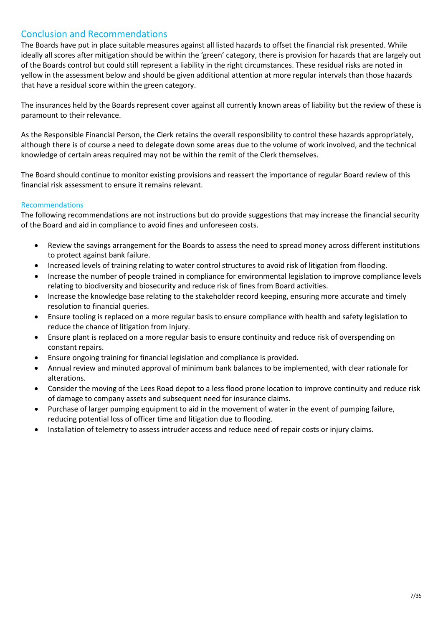#### <span id="page-6-0"></span>Conclusion and Recommendations

The Boards have put in place suitable measures against all listed hazards to offset the financial risk presented. While ideally all scores after mitigation should be within the 'green' category, there is provision for hazards that are largely out of the Boards control but could still represent a liability in the right circumstances. These residual risks are noted in yellow in the assessment below and should be given additional attention at more regular intervals than those hazards that have a residual score within the green category.

The insurances held by the Boards represent cover against all currently known areas of liability but the review of these is paramount to their relevance.

As the Responsible Financial Person, the Clerk retains the overall responsibility to control these hazards appropriately, although there is of course a need to delegate down some areas due to the volume of work involved, and the technical knowledge of certain areas required may not be within the remit of the Clerk themselves.

The Board should continue to monitor existing provisions and reassert the importance of regular Board review of this financial risk assessment to ensure it remains relevant.

#### Recommendations

The following recommendations are not instructions but do provide suggestions that may increase the financial security of the Board and aid in compliance to avoid fines and unforeseen costs.

- Review the savings arrangement for the Boards to assess the need to spread money across different institutions to protect against bank failure.
- Increased levels of training relating to water control structures to avoid risk of litigation from flooding.
- Increase the number of people trained in compliance for environmental legislation to improve compliance levels relating to biodiversity and biosecurity and reduce risk of fines from Board activities.
- Increase the knowledge base relating to the stakeholder record keeping, ensuring more accurate and timely resolution to financial queries.
- Ensure tooling is replaced on a more regular basis to ensure compliance with health and safety legislation to reduce the chance of litigation from injury.
- Ensure plant is replaced on a more regular basis to ensure continuity and reduce risk of overspending on constant repairs.
- Ensure ongoing training for financial legislation and compliance is provided.
- Annual review and minuted approval of minimum bank balances to be implemented, with clear rationale for alterations.
- Consider the moving of the Lees Road depot to a less flood prone location to improve continuity and reduce risk of damage to company assets and subsequent need for insurance claims.
- Purchase of larger pumping equipment to aid in the movement of water in the event of pumping failure, reducing potential loss of officer time and litigation due to flooding.
- Installation of telemetry to assess intruder access and reduce need of repair costs or injury claims.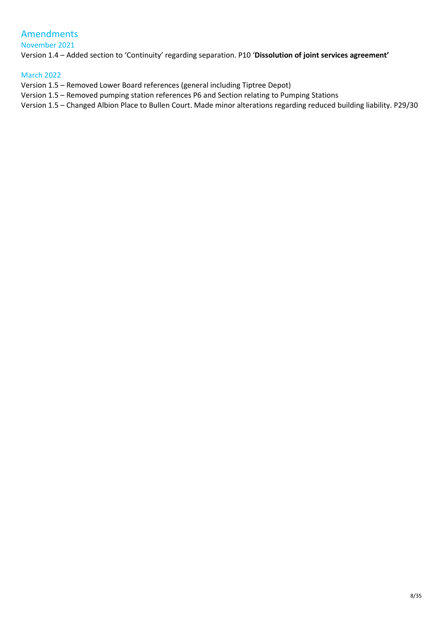### <span id="page-7-0"></span>Amendments

November 2021

Version 1.4 – Added section to 'Continuity' regarding separation. P10 '**Dissolution of joint services agreement'**

March 2022

Version 1.5 – Removed Lower Board references (general including Tiptree Depot)

Version 1.5 – Removed pumping station references P6 and Section relating to Pumping Stations

Version 1.5 – Changed Albion Place to Bullen Court. Made minor alterations regarding reduced building liability. P29/30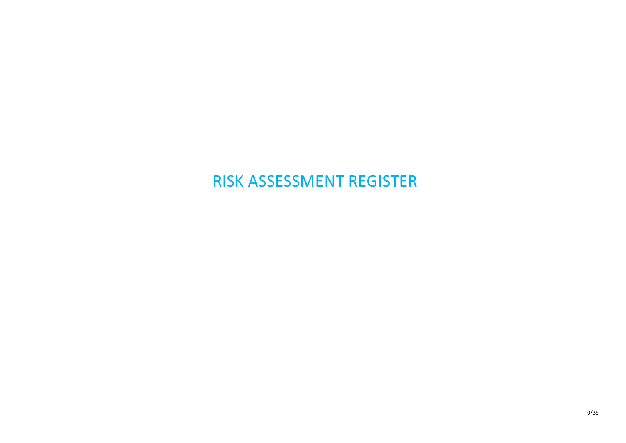## <span id="page-8-0"></span>RISK ASSESSMENT REGISTER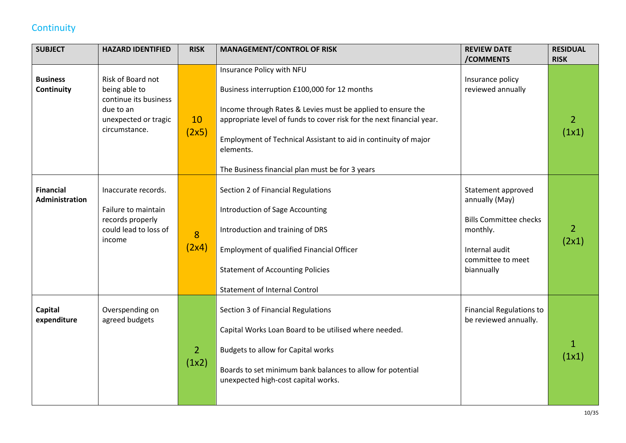## **Continuity**

<span id="page-9-0"></span>

| <b>SUBJECT</b>                            | <b>HAZARD IDENTIFIED</b>                                                                                          | <b>RISK</b>             | <b>MANAGEMENT/CONTROL OF RISK</b>                                                                                                                                                                                                                                                                                                                    | <b>REVIEW DATE</b>                                                                                                                     | <b>RESIDUAL</b>         |
|-------------------------------------------|-------------------------------------------------------------------------------------------------------------------|-------------------------|------------------------------------------------------------------------------------------------------------------------------------------------------------------------------------------------------------------------------------------------------------------------------------------------------------------------------------------------------|----------------------------------------------------------------------------------------------------------------------------------------|-------------------------|
|                                           |                                                                                                                   |                         |                                                                                                                                                                                                                                                                                                                                                      | /COMMENTS                                                                                                                              | <b>RISK</b>             |
| <b>Business</b><br>Continuity             | Risk of Board not<br>being able to<br>continue its business<br>due to an<br>unexpected or tragic<br>circumstance. | 10<br>(2x5)             | Insurance Policy with NFU<br>Business interruption £100,000 for 12 months<br>Income through Rates & Levies must be applied to ensure the<br>appropriate level of funds to cover risk for the next financial year.<br>Employment of Technical Assistant to aid in continuity of major<br>elements.<br>The Business financial plan must be for 3 years | Insurance policy<br>reviewed annually                                                                                                  | $\overline{2}$<br>(1x1) |
| <b>Financial</b><br><b>Administration</b> | Inaccurate records.<br>Failure to maintain<br>records properly<br>could lead to loss of<br>income                 | 8<br>(2x4)              | Section 2 of Financial Regulations<br>Introduction of Sage Accounting<br>Introduction and training of DRS<br><b>Employment of qualified Financial Officer</b><br><b>Statement of Accounting Policies</b><br><b>Statement of Internal Control</b>                                                                                                     | Statement approved<br>annually (May)<br><b>Bills Committee checks</b><br>monthly.<br>Internal audit<br>committee to meet<br>biannually | $\overline{2}$<br>(2x1) |
| Capital<br>expenditure                    | Overspending on<br>agreed budgets                                                                                 | $\overline{2}$<br>(1x2) | Section 3 of Financial Regulations<br>Capital Works Loan Board to be utilised where needed.<br><b>Budgets to allow for Capital works</b><br>Boards to set minimum bank balances to allow for potential<br>unexpected high-cost capital works.                                                                                                        | <b>Financial Regulations to</b><br>be reviewed annually.                                                                               | $\mathbf{1}$<br>(1x1)   |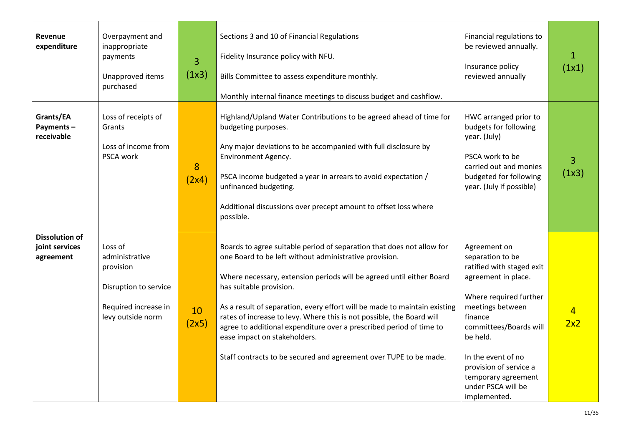| <b>Revenue</b><br>expenditure                        | Overpayment and<br>inappropriate<br>payments<br>Unapproved items<br>purchased                                | 3<br>(1x3)  | Sections 3 and 10 of Financial Regulations<br>Fidelity Insurance policy with NFU.<br>Bills Committee to assess expenditure monthly.<br>Monthly internal finance meetings to discuss budget and cashflow.                                                                                                                                                                                                                                                                                                                                                             | Financial regulations to<br>be reviewed annually.<br>Insurance policy<br>reviewed annually                                                                                                                                                                                                       | $\mathbf{1}$<br>(1x1) |
|------------------------------------------------------|--------------------------------------------------------------------------------------------------------------|-------------|----------------------------------------------------------------------------------------------------------------------------------------------------------------------------------------------------------------------------------------------------------------------------------------------------------------------------------------------------------------------------------------------------------------------------------------------------------------------------------------------------------------------------------------------------------------------|--------------------------------------------------------------------------------------------------------------------------------------------------------------------------------------------------------------------------------------------------------------------------------------------------|-----------------------|
| Grants/EA<br>Payments-<br>receivable                 | Loss of receipts of<br>Grants<br>Loss of income from<br>PSCA work                                            | 8<br>(2x4)  | Highland/Upland Water Contributions to be agreed ahead of time for<br>budgeting purposes.<br>Any major deviations to be accompanied with full disclosure by<br>Environment Agency.<br>PSCA income budgeted a year in arrears to avoid expectation /<br>unfinanced budgeting.<br>Additional discussions over precept amount to offset loss where<br>possible.                                                                                                                                                                                                         | HWC arranged prior to<br>budgets for following<br>year. (July)<br>PSCA work to be<br>carried out and monies<br>budgeted for following<br>year. (July if possible)                                                                                                                                | 3<br>(1x3)            |
| <b>Dissolution of</b><br>joint services<br>agreement | Loss of<br>administrative<br>provision<br>Disruption to service<br>Required increase in<br>levy outside norm | 10<br>(2x5) | Boards to agree suitable period of separation that does not allow for<br>one Board to be left without administrative provision.<br>Where necessary, extension periods will be agreed until either Board<br>has suitable provision.<br>As a result of separation, every effort will be made to maintain existing<br>rates of increase to levy. Where this is not possible, the Board will<br>agree to additional expenditure over a prescribed period of time to<br>ease impact on stakeholders.<br>Staff contracts to be secured and agreement over TUPE to be made. | Agreement on<br>separation to be<br>ratified with staged exit<br>agreement in place.<br>Where required further<br>meetings between<br>finance<br>committees/Boards will<br>be held.<br>In the event of no<br>provision of service a<br>temporary agreement<br>under PSCA will be<br>implemented. | $\overline{4}$<br>2x2 |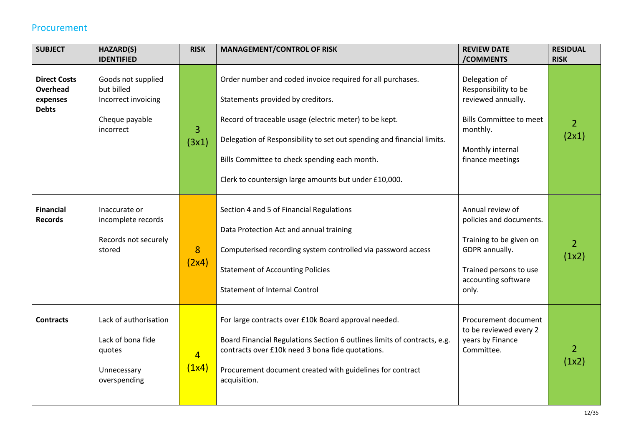#### Procurement

| <b>SUBJECT</b>                                                     | HAZARD(S)                                                                              | <b>RISK</b>             | <b>MANAGEMENT/CONTROL OF RISK</b>                                                                                                                                                                                                                                                                                                             | <b>REVIEW DATE</b>                                                                                                                                 | <b>RESIDUAL</b>         |
|--------------------------------------------------------------------|----------------------------------------------------------------------------------------|-------------------------|-----------------------------------------------------------------------------------------------------------------------------------------------------------------------------------------------------------------------------------------------------------------------------------------------------------------------------------------------|----------------------------------------------------------------------------------------------------------------------------------------------------|-------------------------|
|                                                                    | <b>IDENTIFIED</b>                                                                      |                         |                                                                                                                                                                                                                                                                                                                                               | /COMMENTS                                                                                                                                          | <b>RISK</b>             |
| <b>Direct Costs</b><br><b>Overhead</b><br>expenses<br><b>Debts</b> | Goods not supplied<br>but billed<br>Incorrect invoicing<br>Cheque payable<br>incorrect | 3<br>(3x1)              | Order number and coded invoice required for all purchases.<br>Statements provided by creditors.<br>Record of traceable usage (electric meter) to be kept.<br>Delegation of Responsibility to set out spending and financial limits.<br>Bills Committee to check spending each month.<br>Clerk to countersign large amounts but under £10,000. | Delegation of<br>Responsibility to be<br>reviewed annually.<br><b>Bills Committee to meet</b><br>monthly.<br>Monthly internal<br>finance meetings  | $\overline{2}$<br>(2x1) |
| <b>Financial</b><br><b>Records</b>                                 | Inaccurate or<br>incomplete records<br>Records not securely<br>stored                  | 8<br>(2x4)              | Section 4 and 5 of Financial Regulations<br>Data Protection Act and annual training<br>Computerised recording system controlled via password access<br><b>Statement of Accounting Policies</b><br><b>Statement of Internal Control</b>                                                                                                        | Annual review of<br>policies and documents.<br>Training to be given on<br>GDPR annually.<br>Trained persons to use<br>accounting software<br>only. | $\overline{2}$<br>(1x2) |
| <b>Contracts</b>                                                   | Lack of authorisation<br>Lack of bona fide<br>quotes<br>Unnecessary<br>overspending    | $\overline{4}$<br>(1x4) | For large contracts over £10k Board approval needed.<br>Board Financial Regulations Section 6 outlines limits of contracts, e.g.<br>contracts over £10k need 3 bona fide quotations.<br>Procurement document created with guidelines for contract<br>acquisition.                                                                             | Procurement document<br>to be reviewed every 2<br>years by Finance<br>Committee.                                                                   | $\overline{2}$<br>(1x2) |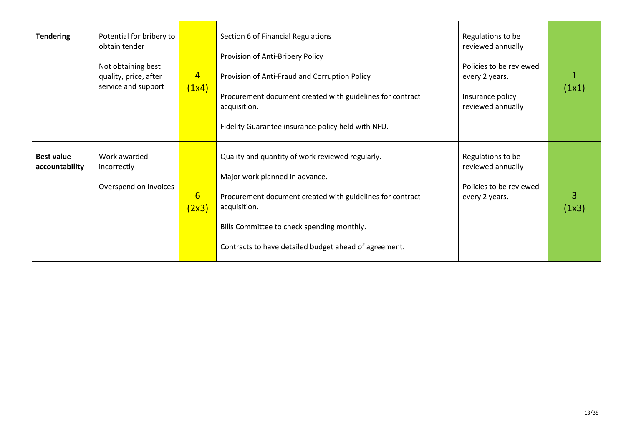| <b>Tendering</b>                    | Potential for bribery to<br>obtain tender<br>Not obtaining best<br>quality, price, after<br>service and support | $\overline{4}$<br>(1x4)  | Section 6 of Financial Regulations<br>Provision of Anti-Bribery Policy<br>Provision of Anti-Fraud and Corruption Policy<br>Procurement document created with guidelines for contract<br>acquisition.<br>Fidelity Guarantee insurance policy held with NFU.             | Regulations to be<br>reviewed annually<br>Policies to be reviewed<br>every 2 years.<br>Insurance policy<br>reviewed annually | (1x1)      |
|-------------------------------------|-----------------------------------------------------------------------------------------------------------------|--------------------------|------------------------------------------------------------------------------------------------------------------------------------------------------------------------------------------------------------------------------------------------------------------------|------------------------------------------------------------------------------------------------------------------------------|------------|
| <b>Best value</b><br>accountability | Work awarded<br>incorrectly<br>Overspend on invoices                                                            | $6\overline{6}$<br>(2x3) | Quality and quantity of work reviewed regularly.<br>Major work planned in advance.<br>Procurement document created with guidelines for contract<br>acquisition.<br>Bills Committee to check spending monthly.<br>Contracts to have detailed budget ahead of agreement. | Regulations to be<br>reviewed annually<br>Policies to be reviewed<br>every 2 years.                                          | 3<br>(1x3) |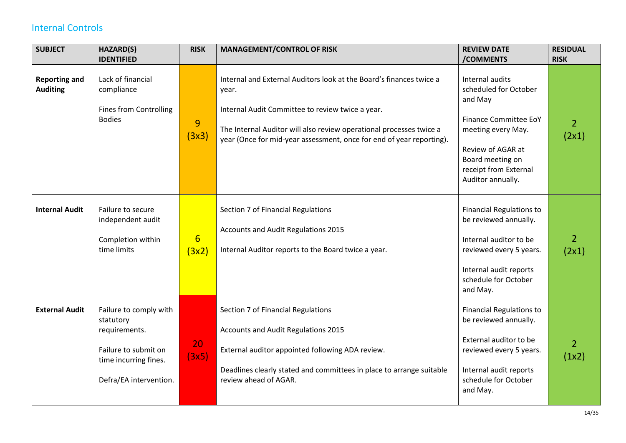## Internal Controls

<span id="page-13-0"></span>

| <b>SUBJECT</b>                          | HAZARD(S)                                                                                                                       | <b>RISK</b>              | <b>MANAGEMENT/CONTROL OF RISK</b>                                                                                                                                                                                                                                               | <b>REVIEW DATE</b>                                                                                                                                                                               | <b>RESIDUAL</b>         |
|-----------------------------------------|---------------------------------------------------------------------------------------------------------------------------------|--------------------------|---------------------------------------------------------------------------------------------------------------------------------------------------------------------------------------------------------------------------------------------------------------------------------|--------------------------------------------------------------------------------------------------------------------------------------------------------------------------------------------------|-------------------------|
|                                         | <b>IDENTIFIED</b>                                                                                                               |                          |                                                                                                                                                                                                                                                                                 | /COMMENTS                                                                                                                                                                                        | <b>RISK</b>             |
| <b>Reporting and</b><br><b>Auditing</b> | Lack of financial<br>compliance<br><b>Fines from Controlling</b><br><b>Bodies</b>                                               | 9<br>(3x3)               | Internal and External Auditors look at the Board's finances twice a<br>year.<br>Internal Audit Committee to review twice a year.<br>The Internal Auditor will also review operational processes twice a<br>year (Once for mid-year assessment, once for end of year reporting). | Internal audits<br>scheduled for October<br>and May<br><b>Finance Committee EoY</b><br>meeting every May.<br>Review of AGAR at<br>Board meeting on<br>receipt from External<br>Auditor annually. | $\overline{2}$<br>(2x1) |
| <b>Internal Audit</b>                   | Failure to secure<br>independent audit<br>Completion within<br>time limits                                                      | $6 \overline{}$<br>(3x2) | Section 7 of Financial Regulations<br>Accounts and Audit Regulations 2015<br>Internal Auditor reports to the Board twice a year.                                                                                                                                                | <b>Financial Regulations to</b><br>be reviewed annually.<br>Internal auditor to be<br>reviewed every 5 years.<br>Internal audit reports<br>schedule for October<br>and May.                      | $\overline{2}$<br>(2x1) |
| <b>External Audit</b>                   | Failure to comply with<br>statutory<br>requirements.<br>Failure to submit on<br>time incurring fines.<br>Defra/EA intervention. | 20<br>(3x5)              | Section 7 of Financial Regulations<br>Accounts and Audit Regulations 2015<br>External auditor appointed following ADA review.<br>Deadlines clearly stated and committees in place to arrange suitable<br>review ahead of AGAR.                                                  | <b>Financial Regulations to</b><br>be reviewed annually.<br>External auditor to be<br>reviewed every 5 years.<br>Internal audit reports<br>schedule for October<br>and May.                      | $\overline{2}$<br>(1x2) |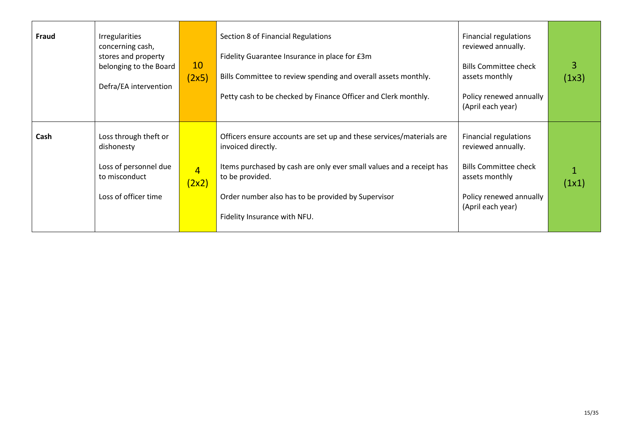| Fraud | <b>Irregularities</b><br>concerning cash,<br>stores and property<br>belonging to the Board<br>Defra/EA intervention | 10<br>(2x5)             | Section 8 of Financial Regulations<br>Fidelity Guarantee Insurance in place for £3m<br>Bills Committee to review spending and overall assets monthly.<br>Petty cash to be checked by Finance Officer and Clerk monthly.                                                     | <b>Financial regulations</b><br>reviewed annually.<br><b>Bills Committee check</b><br>assets monthly<br>Policy renewed annually<br>(April each year) | 3<br>(1x3) |
|-------|---------------------------------------------------------------------------------------------------------------------|-------------------------|-----------------------------------------------------------------------------------------------------------------------------------------------------------------------------------------------------------------------------------------------------------------------------|------------------------------------------------------------------------------------------------------------------------------------------------------|------------|
| Cash  | Loss through theft or<br>dishonesty<br>Loss of personnel due<br>to misconduct<br>Loss of officer time               | $\overline{4}$<br>(2x2) | Officers ensure accounts are set up and these services/materials are<br>invoiced directly.<br>Items purchased by cash are only ever small values and a receipt has<br>to be provided.<br>Order number also has to be provided by Supervisor<br>Fidelity Insurance with NFU. | <b>Financial regulations</b><br>reviewed annually.<br><b>Bills Committee check</b><br>assets monthly<br>Policy renewed annually<br>(April each year) | (1x1)      |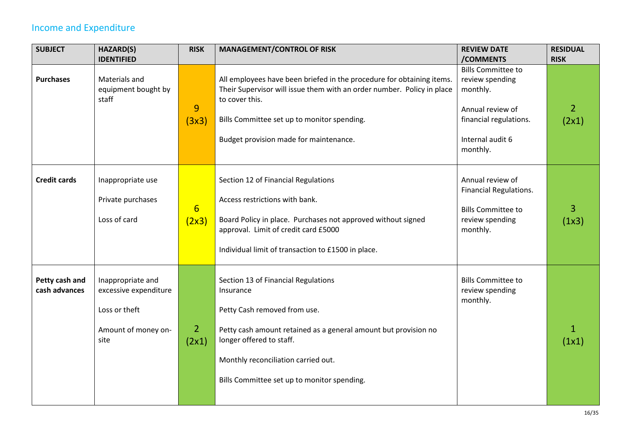## Income and Expenditure

<span id="page-15-0"></span>

| <b>SUBJECT</b>                  | <b>HAZARD(S)</b>                                                                           | <b>RISK</b>               | <b>MANAGEMENT/CONTROL OF RISK</b>                                                                                                                                                                                                                                     | <b>REVIEW DATE</b>                                                                                                                     | <b>RESIDUAL</b>         |
|---------------------------------|--------------------------------------------------------------------------------------------|---------------------------|-----------------------------------------------------------------------------------------------------------------------------------------------------------------------------------------------------------------------------------------------------------------------|----------------------------------------------------------------------------------------------------------------------------------------|-------------------------|
|                                 | <b>IDENTIFIED</b>                                                                          |                           |                                                                                                                                                                                                                                                                       | /COMMENTS                                                                                                                              | <b>RISK</b>             |
| <b>Purchases</b>                | Materials and<br>equipment bought by<br>staff                                              | 9<br>(3x3)                | All employees have been briefed in the procedure for obtaining items.<br>Their Supervisor will issue them with an order number. Policy in place<br>to cover this.<br>Bills Committee set up to monitor spending.<br>Budget provision made for maintenance.            | <b>Bills Committee to</b><br>review spending<br>monthly.<br>Annual review of<br>financial regulations.<br>Internal audit 6<br>monthly. | $\overline{2}$<br>(2x1) |
| <b>Credit cards</b>             | Inappropriate use<br>Private purchases<br>Loss of card                                     | $6 \overline{6}$<br>(2x3) | Section 12 of Financial Regulations<br>Access restrictions with bank.<br>Board Policy in place. Purchases not approved without signed<br>approval. Limit of credit card £5000<br>Individual limit of transaction to £1500 in place.                                   | Annual review of<br>Financial Regulations.<br><b>Bills Committee to</b><br>review spending<br>monthly.                                 | 3<br>(1x3)              |
| Petty cash and<br>cash advances | Inappropriate and<br>excessive expenditure<br>Loss or theft<br>Amount of money on-<br>site | $\overline{2}$<br>(2x1)   | Section 13 of Financial Regulations<br>Insurance<br>Petty Cash removed from use.<br>Petty cash amount retained as a general amount but provision no<br>longer offered to staff.<br>Monthly reconciliation carried out.<br>Bills Committee set up to monitor spending. | <b>Bills Committee to</b><br>review spending<br>monthly.                                                                               | $\mathbf{1}$<br>(1x1)   |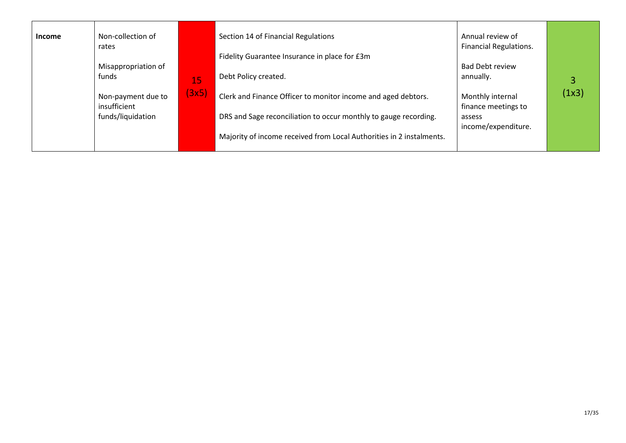| <b>Income</b> | Non-collection of<br>rates         |             | Section 14 of Financial Regulations<br>Fidelity Guarantee Insurance in place for £3m | Annual review of<br><b>Financial Regulations.</b> |       |
|---------------|------------------------------------|-------------|--------------------------------------------------------------------------------------|---------------------------------------------------|-------|
|               | Misappropriation of<br>funds       |             | Debt Policy created.                                                                 | <b>Bad Debt review</b><br>annually.               |       |
|               | Non-payment due to<br>insufficient | 15<br>(3x5) | Clerk and Finance Officer to monitor income and aged debtors.                        | Monthly internal<br>finance meetings to           | (1x3) |
|               | funds/liquidation                  |             | DRS and Sage reconciliation to occur monthly to gauge recording.                     | assess<br>income/expenditure.                     |       |
|               |                                    |             | Majority of income received from Local Authorities in 2 instalments.                 |                                                   |       |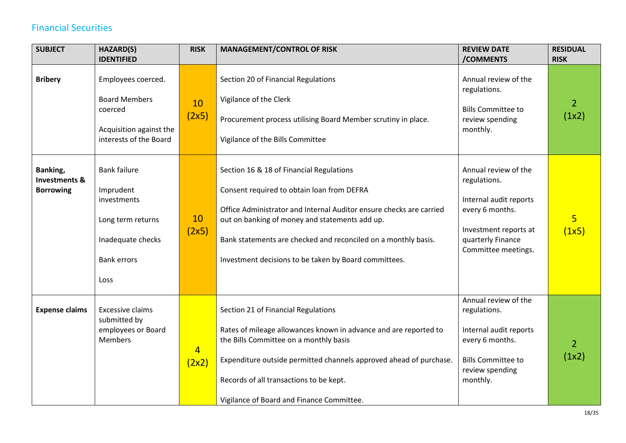## Financial Securities

<span id="page-17-0"></span>

| <b>SUBJECT</b>                                           | HAZARD(S)                                                                                                               | <b>RISK</b>             | <b>MANAGEMENT/CONTROL OF RISK</b>                                                                                                                                                                                                                                                                                                          | <b>REVIEW DATE</b>                                                                                                                                     | <b>RESIDUAL</b>         |
|----------------------------------------------------------|-------------------------------------------------------------------------------------------------------------------------|-------------------------|--------------------------------------------------------------------------------------------------------------------------------------------------------------------------------------------------------------------------------------------------------------------------------------------------------------------------------------------|--------------------------------------------------------------------------------------------------------------------------------------------------------|-------------------------|
|                                                          | <b>IDENTIFIED</b>                                                                                                       |                         |                                                                                                                                                                                                                                                                                                                                            | /COMMENTS                                                                                                                                              | <b>RISK</b>             |
| <b>Bribery</b>                                           | Employees coerced.<br><b>Board Members</b><br>coerced<br>Acquisition against the<br>interests of the Board              | 10<br>(2x5)             | Section 20 of Financial Regulations<br>Vigilance of the Clerk<br>Procurement process utilising Board Member scrutiny in place.<br>Vigilance of the Bills Committee                                                                                                                                                                         | Annual review of the<br>regulations.<br><b>Bills Committee to</b><br>review spending<br>monthly.                                                       | $\overline{2}$<br>(1x2) |
| Banking,<br><b>Investments &amp;</b><br><b>Borrowing</b> | <b>Bank failure</b><br>Imprudent<br>investments<br>Long term returns<br>Inadequate checks<br><b>Bank errors</b><br>Loss | 10<br>(2x5)             | Section 16 & 18 of Financial Regulations<br>Consent required to obtain loan from DEFRA<br>Office Administrator and Internal Auditor ensure checks are carried<br>out on banking of money and statements add up.<br>Bank statements are checked and reconciled on a monthly basis.<br>Investment decisions to be taken by Board committees. | Annual review of the<br>regulations.<br>Internal audit reports<br>every 6 months.<br>Investment reports at<br>quarterly Finance<br>Committee meetings. | $\overline{5}$<br>(1x5) |
| <b>Expense claims</b>                                    | Excessive claims<br>submitted by<br>employees or Board<br><b>Members</b>                                                | $\overline{4}$<br>(2x2) | Section 21 of Financial Regulations<br>Rates of mileage allowances known in advance and are reported to<br>the Bills Committee on a monthly basis<br>Expenditure outside permitted channels approved ahead of purchase.<br>Records of all transactions to be kept.<br>Vigilance of Board and Finance Committee.                            | Annual review of the<br>regulations.<br>Internal audit reports<br>every 6 months.<br><b>Bills Committee to</b><br>review spending<br>monthly.          | $\overline{2}$<br>(1x2) |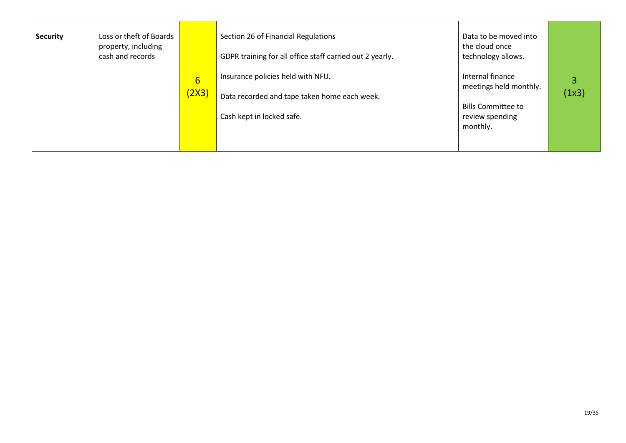| <b>Security</b> | Loss or theft of Boards<br>property, including<br>cash and records |                          | Section 26 of Financial Regulations<br>GDPR training for all office staff carried out 2 yearly.                | Data to be moved into<br>the cloud once<br>technology allows.                                          |       |
|-----------------|--------------------------------------------------------------------|--------------------------|----------------------------------------------------------------------------------------------------------------|--------------------------------------------------------------------------------------------------------|-------|
|                 |                                                                    | $6 \overline{}$<br>(2X3) | Insurance policies held with NFU.<br>Data recorded and tape taken home each week.<br>Cash kept in locked safe. | Internal finance<br>meetings held monthly.<br><b>Bills Committee to</b><br>review spending<br>monthly. | (1x3) |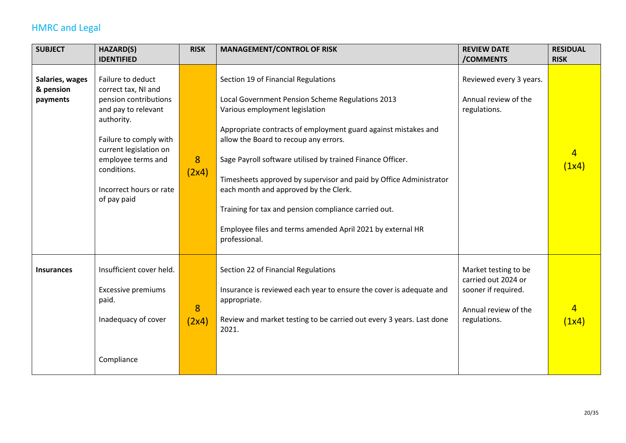## HMRC and Legal

<span id="page-19-0"></span>

| <b>SUBJECT</b>                           | HAZARD(S)                                                                                                                                                                                                                                 | <b>RISK</b> | <b>MANAGEMENT/CONTROL OF RISK</b>                                                                                                                                                                                                                                                                                                                                                                                                                                                                                                                        | <b>REVIEW DATE</b>                                                                                         | <b>RESIDUAL</b>         |
|------------------------------------------|-------------------------------------------------------------------------------------------------------------------------------------------------------------------------------------------------------------------------------------------|-------------|----------------------------------------------------------------------------------------------------------------------------------------------------------------------------------------------------------------------------------------------------------------------------------------------------------------------------------------------------------------------------------------------------------------------------------------------------------------------------------------------------------------------------------------------------------|------------------------------------------------------------------------------------------------------------|-------------------------|
|                                          | <b>IDENTIFIED</b>                                                                                                                                                                                                                         |             |                                                                                                                                                                                                                                                                                                                                                                                                                                                                                                                                                          | /COMMENTS                                                                                                  | <b>RISK</b>             |
| Salaries, wages<br>& pension<br>payments | Failure to deduct<br>correct tax, NI and<br>pension contributions<br>and pay to relevant<br>authority.<br>Failure to comply with<br>current legislation on<br>employee terms and<br>conditions.<br>Incorrect hours or rate<br>of pay paid | 8<br>(2x4)  | Section 19 of Financial Regulations<br>Local Government Pension Scheme Regulations 2013<br>Various employment legislation<br>Appropriate contracts of employment guard against mistakes and<br>allow the Board to recoup any errors.<br>Sage Payroll software utilised by trained Finance Officer.<br>Timesheets approved by supervisor and paid by Office Administrator<br>each month and approved by the Clerk.<br>Training for tax and pension compliance carried out.<br>Employee files and terms amended April 2021 by external HR<br>professional. | Reviewed every 3 years.<br>Annual review of the<br>regulations.                                            | $\overline{4}$<br>(1x4) |
| <b>Insurances</b>                        | Insufficient cover held.<br><b>Excessive premiums</b><br>paid.<br>Inadequacy of cover<br>Compliance                                                                                                                                       | 8<br>(2x4)  | Section 22 of Financial Regulations<br>Insurance is reviewed each year to ensure the cover is adequate and<br>appropriate.<br>Review and market testing to be carried out every 3 years. Last done<br>2021.                                                                                                                                                                                                                                                                                                                                              | Market testing to be<br>carried out 2024 or<br>sooner if required.<br>Annual review of the<br>regulations. | (1x4)                   |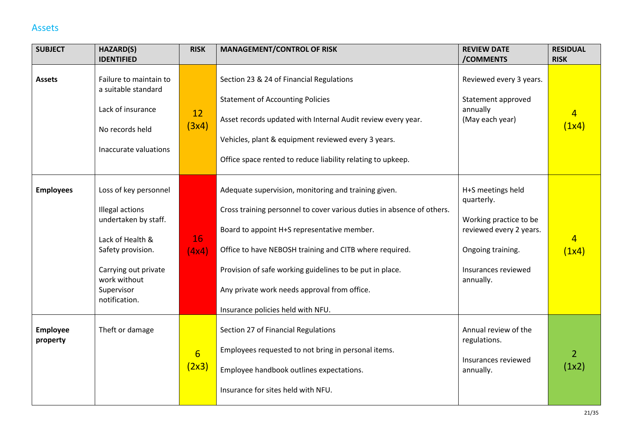#### Assets

<span id="page-20-0"></span>

| <b>SUBJECT</b>              | HAZARD(S)                                                                                                                                                                        | <b>RISK</b>               | <b>MANAGEMENT/CONTROL OF RISK</b>                                                                                                                                                                                                                                                                                                                                                         | <b>REVIEW DATE</b>                                                                                                                            | <b>RESIDUAL</b>         |
|-----------------------------|----------------------------------------------------------------------------------------------------------------------------------------------------------------------------------|---------------------------|-------------------------------------------------------------------------------------------------------------------------------------------------------------------------------------------------------------------------------------------------------------------------------------------------------------------------------------------------------------------------------------------|-----------------------------------------------------------------------------------------------------------------------------------------------|-------------------------|
|                             | <b>IDENTIFIED</b>                                                                                                                                                                |                           |                                                                                                                                                                                                                                                                                                                                                                                           | /COMMENTS                                                                                                                                     | <b>RISK</b>             |
| <b>Assets</b>               | Failure to maintain to<br>a suitable standard<br>Lack of insurance<br>No records held<br>Inaccurate valuations                                                                   | 12<br>(3x4)               | Section 23 & 24 of Financial Regulations<br><b>Statement of Accounting Policies</b><br>Asset records updated with Internal Audit review every year.<br>Vehicles, plant & equipment reviewed every 3 years.<br>Office space rented to reduce liability relating to upkeep.                                                                                                                 | Reviewed every 3 years.<br>Statement approved<br>annually<br>(May each year)                                                                  | $\overline{4}$<br>(1x4) |
| <b>Employees</b>            | Loss of key personnel<br>Illegal actions<br>undertaken by staff.<br>Lack of Health &<br>Safety provision.<br>Carrying out private<br>work without<br>Supervisor<br>notification. | 16<br>(4x4)               | Adequate supervision, monitoring and training given.<br>Cross training personnel to cover various duties in absence of others.<br>Board to appoint H+S representative member.<br>Office to have NEBOSH training and CITB where required.<br>Provision of safe working guidelines to be put in place.<br>Any private work needs approval from office.<br>Insurance policies held with NFU. | H+S meetings held<br>quarterly.<br>Working practice to be<br>reviewed every 2 years.<br>Ongoing training.<br>Insurances reviewed<br>annually. | $\overline{4}$<br>(1x4) |
| <b>Employee</b><br>property | Theft or damage                                                                                                                                                                  | $6 \overline{6}$<br>(2x3) | Section 27 of Financial Regulations<br>Employees requested to not bring in personal items.<br>Employee handbook outlines expectations.<br>Insurance for sites held with NFU.                                                                                                                                                                                                              | Annual review of the<br>regulations.<br>Insurances reviewed<br>annually.                                                                      | $\overline{2}$<br>(1x2) |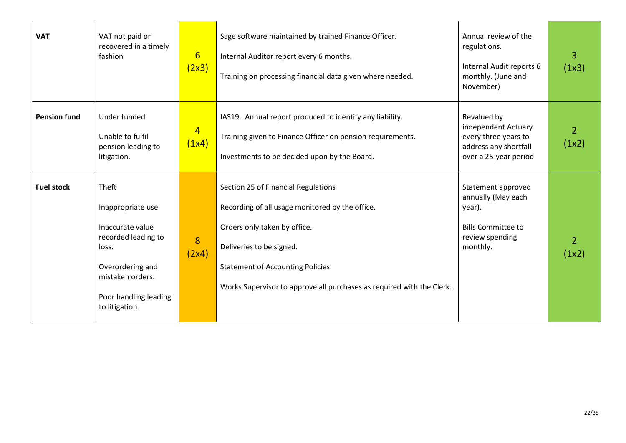| <b>VAT</b>          | VAT not paid or<br>recovered in a timely<br>fashion                                                                                                               | $6\overline{6}$<br>(2x3) | Sage software maintained by trained Finance Officer.<br>Internal Auditor report every 6 months.<br>Training on processing financial data given where needed.                                                                                                           | Annual review of the<br>regulations.<br>Internal Audit reports 6<br>monthly. (June and<br>November)            | 3<br>(1x3)              |
|---------------------|-------------------------------------------------------------------------------------------------------------------------------------------------------------------|--------------------------|------------------------------------------------------------------------------------------------------------------------------------------------------------------------------------------------------------------------------------------------------------------------|----------------------------------------------------------------------------------------------------------------|-------------------------|
| <b>Pension fund</b> | Under funded<br>Unable to fulfil<br>pension leading to<br>litigation.                                                                                             | $\overline{4}$<br>(1x4)  | IAS19. Annual report produced to identify any liability.<br>Training given to Finance Officer on pension requirements.<br>Investments to be decided upon by the Board.                                                                                                 | Revalued by<br>independent Actuary<br>every three years to<br>address any shortfall<br>over a 25-year period   | $\overline{2}$<br>(1x2) |
| <b>Fuel stock</b>   | Theft<br>Inappropriate use<br>Inaccurate value<br>recorded leading to<br>loss.<br>Overordering and<br>mistaken orders.<br>Poor handling leading<br>to litigation. | 8<br>(2x4)               | Section 25 of Financial Regulations<br>Recording of all usage monitored by the office.<br>Orders only taken by office.<br>Deliveries to be signed.<br><b>Statement of Accounting Policies</b><br>Works Supervisor to approve all purchases as required with the Clerk. | Statement approved<br>annually (May each<br>year).<br><b>Bills Committee to</b><br>review spending<br>monthly. | $\overline{2}$<br>(1x2) |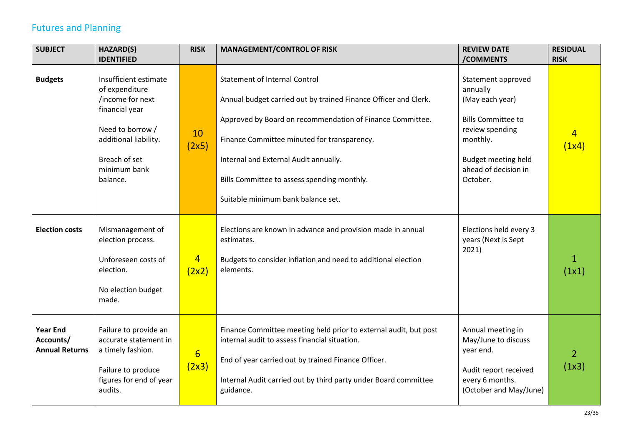## Futures and Planning

<span id="page-22-0"></span>

| <b>SUBJECT</b>                                        | <b>HAZARD(S)</b>                                                                                                                                                        | <b>RISK</b>             | <b>MANAGEMENT/CONTROL OF RISK</b>                                                                                                                                                                                                                                                                                                                 | <b>REVIEW DATE</b>                                                                                                                                                              | <b>RESIDUAL</b>         |
|-------------------------------------------------------|-------------------------------------------------------------------------------------------------------------------------------------------------------------------------|-------------------------|---------------------------------------------------------------------------------------------------------------------------------------------------------------------------------------------------------------------------------------------------------------------------------------------------------------------------------------------------|---------------------------------------------------------------------------------------------------------------------------------------------------------------------------------|-------------------------|
|                                                       | <b>IDENTIFIED</b>                                                                                                                                                       |                         |                                                                                                                                                                                                                                                                                                                                                   | /COMMENTS                                                                                                                                                                       | <b>RISK</b>             |
| <b>Budgets</b>                                        | Insufficient estimate<br>of expenditure<br>/income for next<br>financial year<br>Need to borrow /<br>additional liability.<br>Breach of set<br>minimum bank<br>balance. | 10<br>(2x5)             | <b>Statement of Internal Control</b><br>Annual budget carried out by trained Finance Officer and Clerk.<br>Approved by Board on recommendation of Finance Committee.<br>Finance Committee minuted for transparency.<br>Internal and External Audit annually.<br>Bills Committee to assess spending monthly.<br>Suitable minimum bank balance set. | Statement approved<br>annually<br>(May each year)<br><b>Bills Committee to</b><br>review spending<br>monthly.<br><b>Budget meeting held</b><br>ahead of decision in<br>October. | 4<br>(1x4)              |
| <b>Election costs</b>                                 | Mismanagement of<br>election process.<br>Unforeseen costs of<br>election.<br>No election budget<br>made.                                                                | $\overline{4}$<br>(2x2) | Elections are known in advance and provision made in annual<br>estimates.<br>Budgets to consider inflation and need to additional election<br>elements.                                                                                                                                                                                           | Elections held every 3<br>years (Next is Sept<br>2021)                                                                                                                          | 1<br>(1x1)              |
| <b>Year End</b><br>Accounts/<br><b>Annual Returns</b> | Failure to provide an<br>accurate statement in<br>a timely fashion.<br>Failure to produce<br>figures for end of year<br>audits.                                         | 6<br>(2x3)              | Finance Committee meeting held prior to external audit, but post<br>internal audit to assess financial situation.<br>End of year carried out by trained Finance Officer.<br>Internal Audit carried out by third party under Board committee<br>guidance.                                                                                          | Annual meeting in<br>May/June to discuss<br>year end.<br>Audit report received<br>every 6 months.<br>(October and May/June)                                                     | $\overline{2}$<br>(1x3) |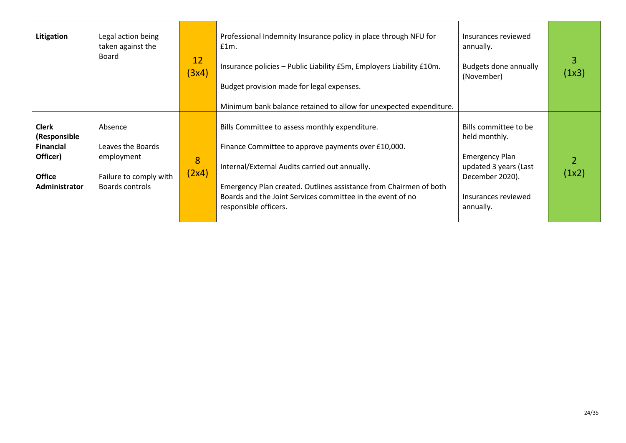| Litigation                                                                                     | Legal action being<br>taken against the<br>Board                                        | 12<br>(3x4) | Professional Indemnity Insurance policy in place through NFU for<br>$f1m$ .<br>Insurance policies - Public Liability £5m, Employers Liability £10m.<br>Budget provision made for legal expenses.<br>Minimum bank balance retained to allow for unexpected expenditure.                                              | Insurances reviewed<br>annually.<br>Budgets done annually<br>(November)                                                                         | 3<br>(1x3) |
|------------------------------------------------------------------------------------------------|-----------------------------------------------------------------------------------------|-------------|---------------------------------------------------------------------------------------------------------------------------------------------------------------------------------------------------------------------------------------------------------------------------------------------------------------------|-------------------------------------------------------------------------------------------------------------------------------------------------|------------|
| <b>Clerk</b><br>(Responsible<br><b>Financial</b><br>Officer)<br><b>Office</b><br>Administrator | Absence<br>Leaves the Boards<br>employment<br>Failure to comply with<br>Boards controls | 8<br>(2x4)  | Bills Committee to assess monthly expenditure.<br>Finance Committee to approve payments over £10,000.<br>Internal/External Audits carried out annually.<br>Emergency Plan created. Outlines assistance from Chairmen of both<br>Boards and the Joint Services committee in the event of no<br>responsible officers. | Bills committee to be<br>held monthly.<br><b>Emergency Plan</b><br>updated 3 years (Last<br>December 2020).<br>Insurances reviewed<br>annually. | (1x2)      |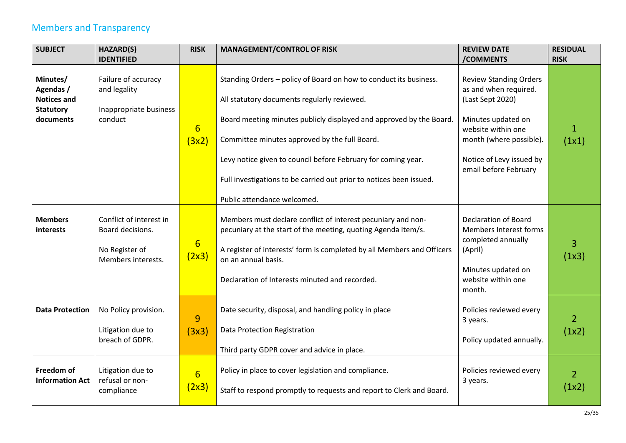## Members and Transparency

<span id="page-24-0"></span>

| <b>SUBJECT</b>                                                  | HAZARD(S)                                                                           | <b>RISK</b>               | <b>MANAGEMENT/CONTROL OF RISK</b>                                                                                                                                                                                                                                                | <b>REVIEW DATE</b>                                                                                                                           | <b>RESIDUAL</b>         |
|-----------------------------------------------------------------|-------------------------------------------------------------------------------------|---------------------------|----------------------------------------------------------------------------------------------------------------------------------------------------------------------------------------------------------------------------------------------------------------------------------|----------------------------------------------------------------------------------------------------------------------------------------------|-------------------------|
|                                                                 | <b>IDENTIFIED</b>                                                                   |                           |                                                                                                                                                                                                                                                                                  | /COMMENTS                                                                                                                                    | <b>RISK</b>             |
| Minutes/<br>Agendas /<br><b>Notices and</b><br><b>Statutory</b> | Failure of accuracy<br>and legality<br>Inappropriate business                       |                           | Standing Orders - policy of Board on how to conduct its business.<br>All statutory documents regularly reviewed.                                                                                                                                                                 | <b>Review Standing Orders</b><br>as and when required.<br>(Last Sept 2020)                                                                   |                         |
| documents                                                       | conduct                                                                             | $6\overline{6}$<br>(3x2)  | Board meeting minutes publicly displayed and approved by the Board.<br>Committee minutes approved by the full Board.                                                                                                                                                             | Minutes updated on<br>website within one<br>month (where possible).                                                                          | 1<br>(1x1)              |
|                                                                 |                                                                                     |                           | Levy notice given to council before February for coming year.<br>Full investigations to be carried out prior to notices been issued.                                                                                                                                             | Notice of Levy issued by<br>email before February                                                                                            |                         |
|                                                                 |                                                                                     |                           | Public attendance welcomed.                                                                                                                                                                                                                                                      |                                                                                                                                              |                         |
| <b>Members</b><br><i>interests</i>                              | Conflict of interest in<br>Board decisions.<br>No Register of<br>Members interests. | $6\overline{6}$<br>(2x3)  | Members must declare conflict of interest pecuniary and non-<br>pecuniary at the start of the meeting, quoting Agenda Item/s.<br>A register of interests' form is completed by all Members and Officers<br>on an annual basis.<br>Declaration of Interests minuted and recorded. | <b>Declaration of Board</b><br>Members Interest forms<br>completed annually<br>(April)<br>Minutes updated on<br>website within one<br>month. | 3<br>(1x3)              |
| <b>Data Protection</b>                                          | No Policy provision.<br>Litigation due to<br>breach of GDPR.                        | 9<br>(3x3)                | Date security, disposal, and handling policy in place<br>Data Protection Registration<br>Third party GDPR cover and advice in place.                                                                                                                                             | Policies reviewed every<br>3 years.<br>Policy updated annually.                                                                              | $\overline{2}$<br>(1x2) |
| Freedom of<br><b>Information Act</b>                            | Litigation due to<br>refusal or non-<br>compliance                                  | $6 \overline{6}$<br>(2x3) | Policy in place to cover legislation and compliance.<br>Staff to respond promptly to requests and report to Clerk and Board.                                                                                                                                                     | Policies reviewed every<br>3 years.                                                                                                          | $\overline{2}$<br>(1x2) |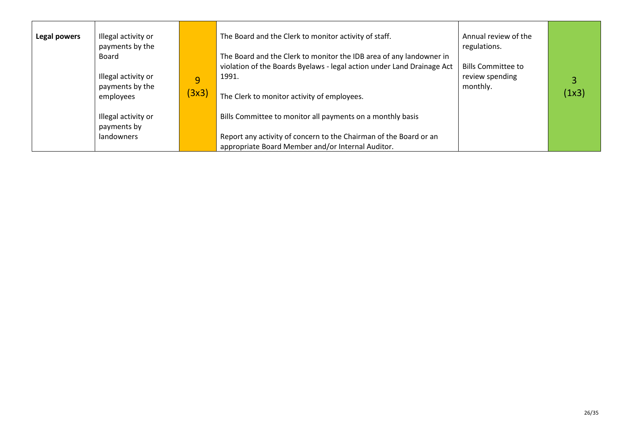| Legal powers | Illegal activity or<br>payments by the<br>Board     |            | The Board and the Clerk to monitor activity of staff.<br>The Board and the Clerk to monitor the IDB area of any landowner in    | Annual review of the<br>regulations.                     |            |
|--------------|-----------------------------------------------------|------------|---------------------------------------------------------------------------------------------------------------------------------|----------------------------------------------------------|------------|
|              | Illegal activity or<br>payments by the<br>employees | 9<br>(3x3) | violation of the Boards Byelaws - legal action under Land Drainage Act<br>1991.<br>The Clerk to monitor activity of employees.  | <b>Bills Committee to</b><br>review spending<br>monthly. | 3<br>(1x3) |
|              | Illegal activity or<br>payments by<br>landowners    |            | Bills Committee to monitor all payments on a monthly basis<br>Report any activity of concern to the Chairman of the Board or an |                                                          |            |
|              |                                                     |            | appropriate Board Member and/or Internal Auditor.                                                                               |                                                          |            |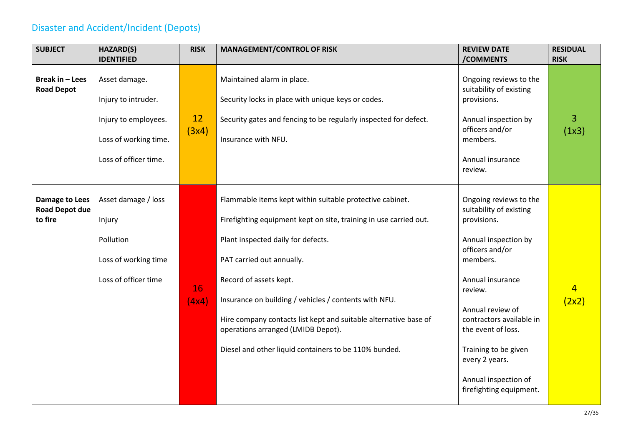## Disaster and Accident/Incident (Depots)

<span id="page-26-0"></span>

| <b>SUBJECT</b>                                 | <b>HAZARD(S)</b>      | <b>RISK</b>                                                                                            | <b>MANAGEMENT/CONTROL OF RISK</b>                                 | <b>REVIEW DATE</b>                                | <b>RESIDUAL</b> |
|------------------------------------------------|-----------------------|--------------------------------------------------------------------------------------------------------|-------------------------------------------------------------------|---------------------------------------------------|-----------------|
|                                                | <b>IDENTIFIED</b>     |                                                                                                        |                                                                   | /COMMENTS                                         | <b>RISK</b>     |
| Break in - Lees<br><b>Road Depot</b>           | Asset damage.         |                                                                                                        | Maintained alarm in place.                                        | Ongoing reviews to the<br>suitability of existing |                 |
|                                                | Injury to intruder.   |                                                                                                        | Security locks in place with unique keys or codes.                | provisions.                                       |                 |
|                                                | Injury to employees.  | 12                                                                                                     | Security gates and fencing to be regularly inspected for defect.  | Annual inspection by<br>officers and/or           | $\overline{3}$  |
|                                                | Loss of working time. | (3x4)                                                                                                  | Insurance with NFU.                                               | members.                                          | (1x3)           |
|                                                | Loss of officer time. |                                                                                                        |                                                                   | Annual insurance<br>review.                       |                 |
|                                                |                       |                                                                                                        |                                                                   |                                                   |                 |
| <b>Damage to Lees</b><br><b>Road Depot due</b> | Asset damage / loss   |                                                                                                        | Flammable items kept within suitable protective cabinet.          | Ongoing reviews to the<br>suitability of existing |                 |
| to fire                                        | Injury                |                                                                                                        | Firefighting equipment kept on site, training in use carried out. | provisions.                                       |                 |
|                                                | Pollution             |                                                                                                        | Plant inspected daily for defects.                                | Annual inspection by<br>officers and/or           |                 |
|                                                | Loss of working time  |                                                                                                        | PAT carried out annually.                                         | members.                                          |                 |
|                                                | Loss of officer time  | 16                                                                                                     | Record of assets kept.                                            | Annual insurance<br>review.                       | $\overline{4}$  |
|                                                |                       | (4x4)                                                                                                  | Insurance on building / vehicles / contents with NFU.             | Annual review of                                  | (2x2)           |
|                                                |                       | Hire company contacts list kept and suitable alternative base of<br>operations arranged (LMIDB Depot). | contractors available in<br>the event of loss.                    |                                                   |                 |
|                                                |                       | Diesel and other liquid containers to be 110% bunded.                                                  | Training to be given<br>every 2 years.                            |                                                   |                 |
|                                                |                       |                                                                                                        |                                                                   | Annual inspection of<br>firefighting equipment.   |                 |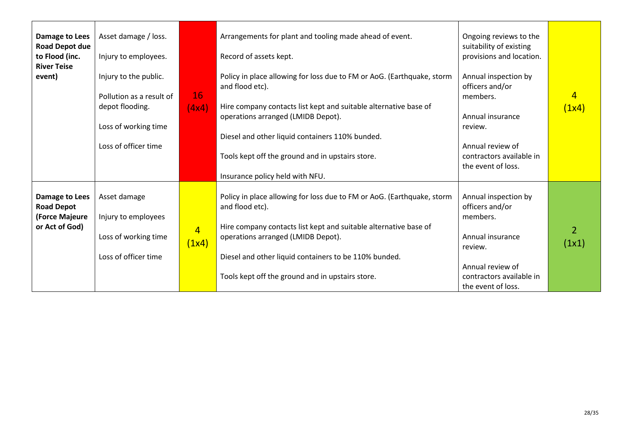| <b>Damage to Lees</b><br><b>Road Depot due</b><br>to Flood (inc.<br><b>River Teise</b><br>event) | Asset damage / loss.<br>Injury to employees.<br>Injury to the public.<br>Pollution as a result of<br>depot flooding.<br>Loss of working time<br>Loss of officer time | 16<br>(4x4)             | Arrangements for plant and tooling made ahead of event.<br>Record of assets kept.<br>Policy in place allowing for loss due to FM or AoG. (Earthquake, storm<br>and flood etc).<br>Hire company contacts list kept and suitable alternative base of<br>operations arranged (LMIDB Depot).<br>Diesel and other liquid containers 110% bunded.<br>Tools kept off the ground and in upstairs store.<br>Insurance policy held with NFU. | Ongoing reviews to the<br>suitability of existing<br>provisions and location.<br>Annual inspection by<br>officers and/or<br>members.<br>Annual insurance<br>review.<br>Annual review of<br>contractors available in<br>the event of loss. | 4<br>(1x4)              |
|--------------------------------------------------------------------------------------------------|----------------------------------------------------------------------------------------------------------------------------------------------------------------------|-------------------------|------------------------------------------------------------------------------------------------------------------------------------------------------------------------------------------------------------------------------------------------------------------------------------------------------------------------------------------------------------------------------------------------------------------------------------|-------------------------------------------------------------------------------------------------------------------------------------------------------------------------------------------------------------------------------------------|-------------------------|
| Damage to Lees<br><b>Road Depot</b><br>(Force Majeure<br>or Act of God)                          | Asset damage<br>Injury to employees<br>Loss of working time<br>Loss of officer time                                                                                  | $\overline{4}$<br>(1x4) | Policy in place allowing for loss due to FM or AoG. (Earthquake, storm<br>and flood etc).<br>Hire company contacts list kept and suitable alternative base of<br>operations arranged (LMIDB Depot).<br>Diesel and other liquid containers to be 110% bunded.<br>Tools kept off the ground and in upstairs store.                                                                                                                   | Annual inspection by<br>officers and/or<br>members.<br>Annual insurance<br>review.<br>Annual review of<br>contractors available in<br>the event of loss.                                                                                  | $\overline{2}$<br>(1x1) |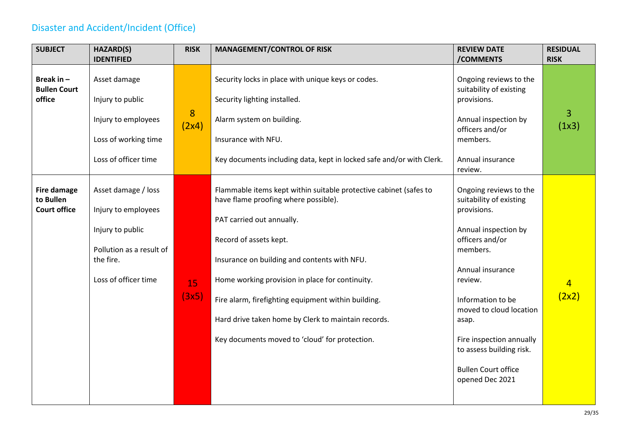## Disaster and Accident/Incident (Office)

<span id="page-28-0"></span>

| <b>SUBJECT</b>                                  | <b>HAZARD(S)</b>                                                                                                                | <b>RISK</b> | <b>MANAGEMENT/CONTROL OF RISK</b>                                                                                                                                                                                                                                                                                                                                                                                                   | <b>REVIEW DATE</b>                                                                                                                                                                                                                                                                                                       | <b>RESIDUAL</b>         |
|-------------------------------------------------|---------------------------------------------------------------------------------------------------------------------------------|-------------|-------------------------------------------------------------------------------------------------------------------------------------------------------------------------------------------------------------------------------------------------------------------------------------------------------------------------------------------------------------------------------------------------------------------------------------|--------------------------------------------------------------------------------------------------------------------------------------------------------------------------------------------------------------------------------------------------------------------------------------------------------------------------|-------------------------|
|                                                 | <b>IDENTIFIED</b>                                                                                                               |             |                                                                                                                                                                                                                                                                                                                                                                                                                                     | /COMMENTS                                                                                                                                                                                                                                                                                                                | <b>RISK</b>             |
| Break in $-$<br><b>Bullen Court</b><br>office   | Asset damage<br>Injury to public                                                                                                |             | Security locks in place with unique keys or codes.<br>Security lighting installed.                                                                                                                                                                                                                                                                                                                                                  | Ongoing reviews to the<br>suitability of existing<br>provisions.                                                                                                                                                                                                                                                         |                         |
|                                                 | Injury to employees<br>Loss of working time                                                                                     | 8<br>(2x4)  | Alarm system on building.<br>Insurance with NFU.                                                                                                                                                                                                                                                                                                                                                                                    | Annual inspection by<br>officers and/or<br>members.                                                                                                                                                                                                                                                                      | 3<br>(1x3)              |
|                                                 | Loss of officer time                                                                                                            |             | Key documents including data, kept in locked safe and/or with Clerk.                                                                                                                                                                                                                                                                                                                                                                | Annual insurance<br>review.                                                                                                                                                                                                                                                                                              |                         |
| Fire damage<br>to Bullen<br><b>Court office</b> | Asset damage / loss<br>Injury to employees<br>Injury to public<br>Pollution as a result of<br>the fire.<br>Loss of officer time | 15<br>(3x5) | Flammable items kept within suitable protective cabinet (safes to<br>have flame proofing where possible).<br>PAT carried out annually.<br>Record of assets kept.<br>Insurance on building and contents with NFU.<br>Home working provision in place for continuity.<br>Fire alarm, firefighting equipment within building.<br>Hard drive taken home by Clerk to maintain records.<br>Key documents moved to 'cloud' for protection. | Ongoing reviews to the<br>suitability of existing<br>provisions.<br>Annual inspection by<br>officers and/or<br>members.<br>Annual insurance<br>review.<br>Information to be<br>moved to cloud location<br>asap.<br>Fire inspection annually<br>to assess building risk.<br><b>Bullen Court office</b><br>opened Dec 2021 | $\overline{4}$<br>(2x2) |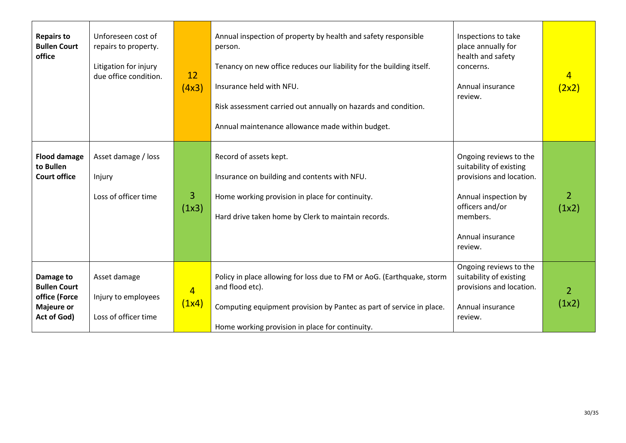| <b>Repairs to</b><br><b>Bullen Court</b><br>office                                    | Unforeseen cost of<br>repairs to property.<br>Litigation for injury<br>due office condition. | 12<br>(4x3)             | Annual inspection of property by health and safety responsible<br>person.<br>Tenancy on new office reduces our liability for the building itself.<br>Insurance held with NFU.<br>Risk assessment carried out annually on hazards and condition.<br>Annual maintenance allowance made within budget. | Inspections to take<br>place annually for<br>health and safety<br>concerns.<br>Annual insurance<br>review.                                                          | $\overline{4}$<br>(2x2) |
|---------------------------------------------------------------------------------------|----------------------------------------------------------------------------------------------|-------------------------|-----------------------------------------------------------------------------------------------------------------------------------------------------------------------------------------------------------------------------------------------------------------------------------------------------|---------------------------------------------------------------------------------------------------------------------------------------------------------------------|-------------------------|
| <b>Flood damage</b><br>to Bullen<br><b>Court office</b>                               | Asset damage / loss<br>Injury<br>Loss of officer time                                        | 3<br>(1x3)              | Record of assets kept.<br>Insurance on building and contents with NFU.<br>Home working provision in place for continuity.<br>Hard drive taken home by Clerk to maintain records.                                                                                                                    | Ongoing reviews to the<br>suitability of existing<br>provisions and location.<br>Annual inspection by<br>officers and/or<br>members.<br>Annual insurance<br>review. | $\overline{2}$<br>(1x2) |
| Damage to<br><b>Bullen Court</b><br>office (Force<br><b>Majeure or</b><br>Act of God) | Asset damage<br>Injury to employees<br>Loss of officer time                                  | $\overline{4}$<br>(1x4) | Policy in place allowing for loss due to FM or AoG. (Earthquake, storm<br>and flood etc).<br>Computing equipment provision by Pantec as part of service in place.<br>Home working provision in place for continuity.                                                                                | Ongoing reviews to the<br>suitability of existing<br>provisions and location.<br>Annual insurance<br>review.                                                        | $\overline{2}$<br>(1x2) |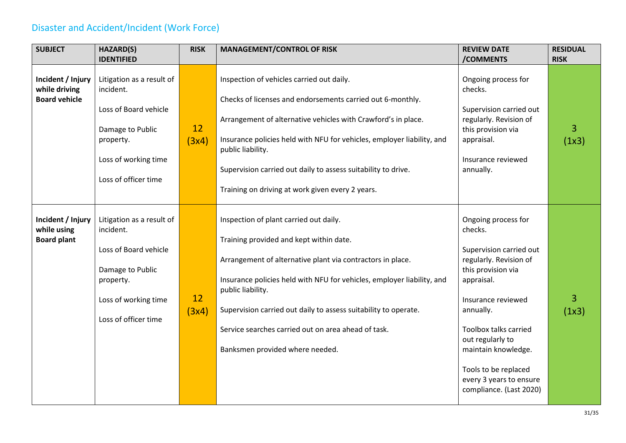## Disaster and Accident/Incident (Work Force)

<span id="page-30-0"></span>

| <b>SUBJECT</b>                                             | HAZARD(S)                                                                                                                                        | <b>RISK</b> | <b>MANAGEMENT/CONTROL OF RISK</b>                                                                                                                                                                                                                                                                                                                                                                           | <b>REVIEW DATE</b>                                                                                                                                                                                                                                                                                                  | <b>RESIDUAL</b>         |
|------------------------------------------------------------|--------------------------------------------------------------------------------------------------------------------------------------------------|-------------|-------------------------------------------------------------------------------------------------------------------------------------------------------------------------------------------------------------------------------------------------------------------------------------------------------------------------------------------------------------------------------------------------------------|---------------------------------------------------------------------------------------------------------------------------------------------------------------------------------------------------------------------------------------------------------------------------------------------------------------------|-------------------------|
|                                                            | <b>IDENTIFIED</b>                                                                                                                                |             |                                                                                                                                                                                                                                                                                                                                                                                                             | /COMMENTS                                                                                                                                                                                                                                                                                                           | <b>RISK</b>             |
| Incident / Injury<br>while driving<br><b>Board vehicle</b> | Litigation as a result of<br>incident.<br>Loss of Board vehicle<br>Damage to Public<br>property.<br>Loss of working time<br>Loss of officer time | 12<br>(3x4) | Inspection of vehicles carried out daily.<br>Checks of licenses and endorsements carried out 6-monthly.<br>Arrangement of alternative vehicles with Crawford's in place.<br>Insurance policies held with NFU for vehicles, employer liability, and<br>public liability.<br>Supervision carried out daily to assess suitability to drive.<br>Training on driving at work given every 2 years.                | Ongoing process for<br>checks.<br>Supervision carried out<br>regularly. Revision of<br>this provision via<br>appraisal.<br>Insurance reviewed<br>annually.                                                                                                                                                          | 3<br>(1x3)              |
| Incident / Injury<br>while using<br><b>Board plant</b>     | Litigation as a result of<br>incident.<br>Loss of Board vehicle<br>Damage to Public<br>property.<br>Loss of working time<br>Loss of officer time | 12<br>(3x4) | Inspection of plant carried out daily.<br>Training provided and kept within date.<br>Arrangement of alternative plant via contractors in place.<br>Insurance policies held with NFU for vehicles, employer liability, and<br>public liability.<br>Supervision carried out daily to assess suitability to operate.<br>Service searches carried out on area ahead of task.<br>Banksmen provided where needed. | Ongoing process for<br>checks.<br>Supervision carried out<br>regularly. Revision of<br>this provision via<br>appraisal.<br>Insurance reviewed<br>annually.<br><b>Toolbox talks carried</b><br>out regularly to<br>maintain knowledge.<br>Tools to be replaced<br>every 3 years to ensure<br>compliance. (Last 2020) | $\overline{3}$<br>(1x3) |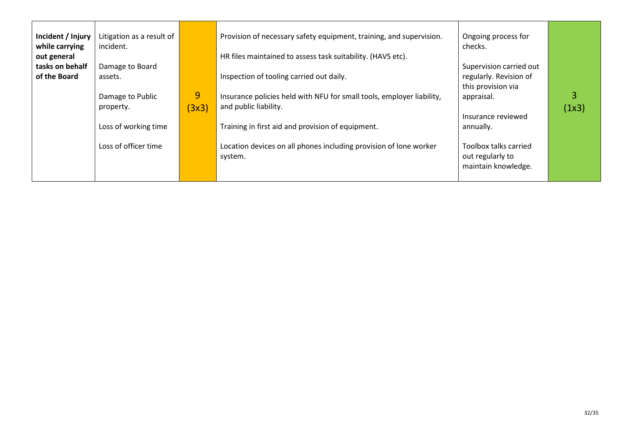| Incident / Injury<br>while carrying<br>out general<br>tasks on behalf<br>of the Board | Litigation as a result of<br>incident.<br>Damage to Board<br>assets.<br>Damage to Public<br>property.<br>Loss of working time<br>Loss of officer time | 9<br>(3x3) | Provision of necessary safety equipment, training, and supervision.<br>HR files maintained to assess task suitability. (HAVS etc).<br>Inspection of tooling carried out daily.<br>Insurance policies held with NFU for small tools, employer liability,<br>and public liability.<br>Training in first aid and provision of equipment.<br>Location devices on all phones including provision of lone worker<br>system. | Ongoing process for<br>checks.<br>Supervision carried out<br>regularly. Revision of<br>this provision via<br>appraisal.<br>Insurance reviewed<br>annually.<br>Toolbox talks carried<br>out regularly to<br>maintain knowledge. | 3<br>(1x3) |
|---------------------------------------------------------------------------------------|-------------------------------------------------------------------------------------------------------------------------------------------------------|------------|-----------------------------------------------------------------------------------------------------------------------------------------------------------------------------------------------------------------------------------------------------------------------------------------------------------------------------------------------------------------------------------------------------------------------|--------------------------------------------------------------------------------------------------------------------------------------------------------------------------------------------------------------------------------|------------|
|---------------------------------------------------------------------------------------|-------------------------------------------------------------------------------------------------------------------------------------------------------|------------|-----------------------------------------------------------------------------------------------------------------------------------------------------------------------------------------------------------------------------------------------------------------------------------------------------------------------------------------------------------------------------------------------------------------------|--------------------------------------------------------------------------------------------------------------------------------------------------------------------------------------------------------------------------------|------------|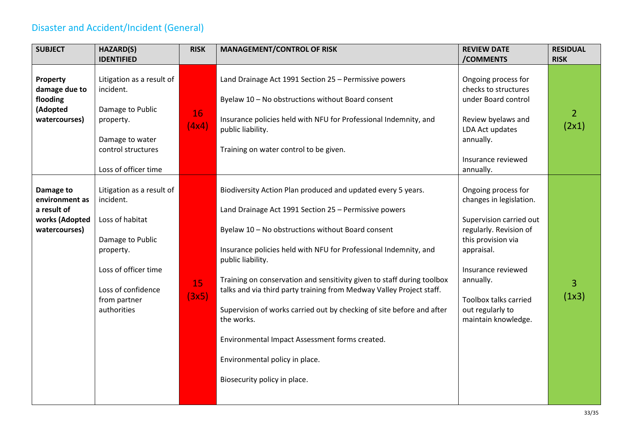## Disaster and Accident/Incident (General)

<span id="page-32-0"></span>

| <b>SUBJECT</b>                                                                | HAZARD(S)                                                                                                                                                               | <b>RISK</b> | <b>MANAGEMENT/CONTROL OF RISK</b>                                                                                                                                                                                                                                                                                                                                                                                                                                                                                                                                                                                                | <b>REVIEW DATE</b>                                                                                                                                                                                                                             | <b>RESIDUAL</b>         |
|-------------------------------------------------------------------------------|-------------------------------------------------------------------------------------------------------------------------------------------------------------------------|-------------|----------------------------------------------------------------------------------------------------------------------------------------------------------------------------------------------------------------------------------------------------------------------------------------------------------------------------------------------------------------------------------------------------------------------------------------------------------------------------------------------------------------------------------------------------------------------------------------------------------------------------------|------------------------------------------------------------------------------------------------------------------------------------------------------------------------------------------------------------------------------------------------|-------------------------|
|                                                                               | <b>IDENTIFIED</b>                                                                                                                                                       |             |                                                                                                                                                                                                                                                                                                                                                                                                                                                                                                                                                                                                                                  | /COMMENTS                                                                                                                                                                                                                                      | <b>RISK</b>             |
| Property<br>damage due to<br>flooding<br>(Adopted<br>watercourses)            | Litigation as a result of<br>incident.<br>Damage to Public<br>property.<br>Damage to water<br>control structures<br>Loss of officer time                                | 16<br>(4x4) | Land Drainage Act 1991 Section 25 - Permissive powers<br>Byelaw 10 - No obstructions without Board consent<br>Insurance policies held with NFU for Professional Indemnity, and<br>public liability.<br>Training on water control to be given.                                                                                                                                                                                                                                                                                                                                                                                    | Ongoing process for<br>checks to structures<br>under Board control<br>Review byelaws and<br>LDA Act updates<br>annually.<br>Insurance reviewed<br>annually.                                                                                    | $\overline{2}$<br>(2x1) |
| Damage to<br>environment as<br>a result of<br>works (Adopted<br>watercourses) | Litigation as a result of<br>incident.<br>Loss of habitat<br>Damage to Public<br>property.<br>Loss of officer time<br>Loss of confidence<br>from partner<br>authorities | 15<br>(3x5) | Biodiversity Action Plan produced and updated every 5 years.<br>Land Drainage Act 1991 Section 25 - Permissive powers<br>Byelaw 10 - No obstructions without Board consent<br>Insurance policies held with NFU for Professional Indemnity, and<br>public liability.<br>Training on conservation and sensitivity given to staff during toolbox<br>talks and via third party training from Medway Valley Project staff.<br>Supervision of works carried out by checking of site before and after<br>the works.<br>Environmental Impact Assessment forms created.<br>Environmental policy in place.<br>Biosecurity policy in place. | Ongoing process for<br>changes in legislation.<br>Supervision carried out<br>regularly. Revision of<br>this provision via<br>appraisal.<br>Insurance reviewed<br>annually.<br>Toolbox talks carried<br>out regularly to<br>maintain knowledge. | 3<br>(1x3)              |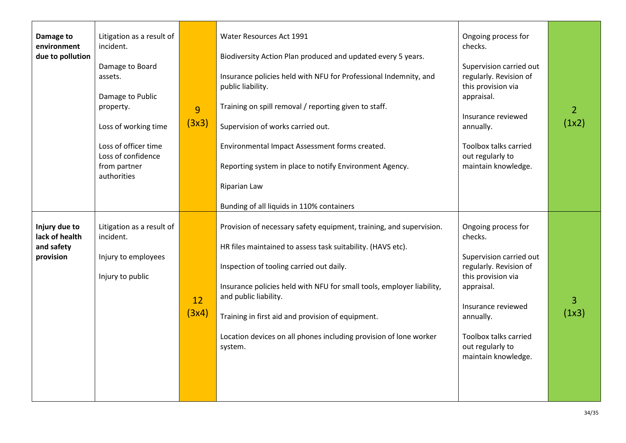| Damage to<br>environment<br>due to pollution               | Litigation as a result of<br>incident.<br>Damage to Board<br>assets.<br>Damage to Public<br>property.<br>Loss of working time<br>Loss of officer time<br>Loss of confidence<br>from partner<br>authorities | 9<br>(3x3)  | Water Resources Act 1991<br>Biodiversity Action Plan produced and updated every 5 years.<br>Insurance policies held with NFU for Professional Indemnity, and<br>public liability.<br>Training on spill removal / reporting given to staff.<br>Supervision of works carried out.<br>Environmental Impact Assessment forms created.<br>Reporting system in place to notify Environment Agency.<br>Riparian Law<br>Bunding of all liquids in 110% containers | Ongoing process for<br>checks.<br>Supervision carried out<br>regularly. Revision of<br>this provision via<br>appraisal.<br>Insurance reviewed<br>annually.<br>Toolbox talks carried<br>out regularly to<br>maintain knowledge. | $\overline{2}$<br>(1x2) |
|------------------------------------------------------------|------------------------------------------------------------------------------------------------------------------------------------------------------------------------------------------------------------|-------------|-----------------------------------------------------------------------------------------------------------------------------------------------------------------------------------------------------------------------------------------------------------------------------------------------------------------------------------------------------------------------------------------------------------------------------------------------------------|--------------------------------------------------------------------------------------------------------------------------------------------------------------------------------------------------------------------------------|-------------------------|
| Injury due to<br>lack of health<br>and safety<br>provision | Litigation as a result of<br>incident.<br>Injury to employees<br>Injury to public                                                                                                                          | 12<br>(3x4) | Provision of necessary safety equipment, training, and supervision.<br>HR files maintained to assess task suitability. (HAVS etc).<br>Inspection of tooling carried out daily.<br>Insurance policies held with NFU for small tools, employer liability,<br>and public liability.<br>Training in first aid and provision of equipment.<br>Location devices on all phones including provision of lone worker<br>system.                                     | Ongoing process for<br>checks.<br>Supervision carried out<br>regularly. Revision of<br>this provision via<br>appraisal.<br>Insurance reviewed<br>annually.<br>Toolbox talks carried<br>out regularly to<br>maintain knowledge. | 3<br>(1x3)              |